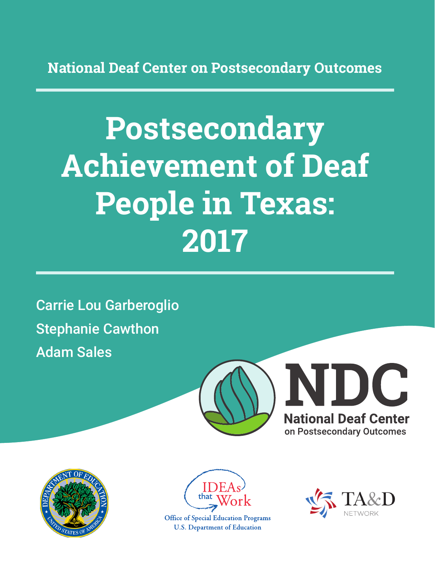**National Deaf Center on Postsecondary Outcomes**

# **Postsecondary Achievement of Deaf People in Texas: 2017**

Carrie Lou Garberoglio Stephanie Cawthon Adam Sales







**Office of Special Education Programs U.S. Department of Education** 

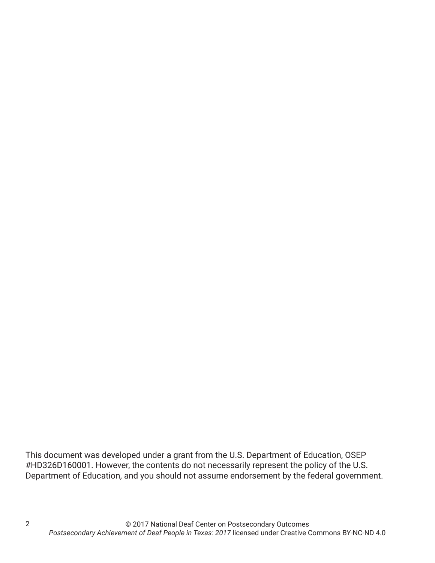This document was developed under a grant from the U.S. Department of Education, OSEP #HD326D160001. However, the contents do not necessarily represent the policy of the U.S. Department of Education, and you should not assume endorsement by the federal government.

2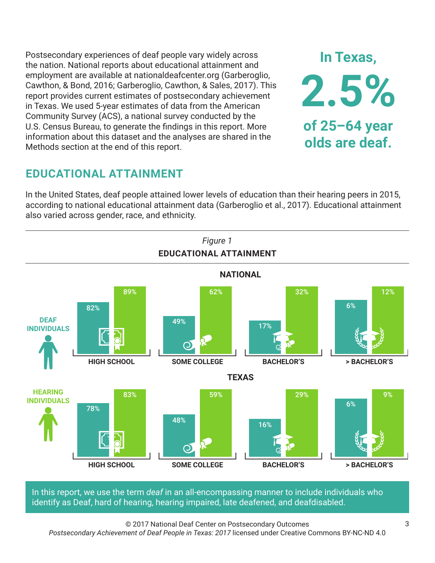Postsecondary experiences of deaf people vary widely across the nation. National reports about educational attainment and employment are available at nationaldeafcenter.org (Garberoglio, Cawthon, & Bond, 2016; Garberoglio, Cawthon, & Sales, 2017). This report provides current estimates of postsecondary achievement in Texas. We used 5-year estimates of data from the American Community Survey (ACS), a national survey conducted by the U.S. Census Bureau, to generate the findings in this report. More information about this dataset and the analyses are shared in the Methods section at the end of this report.

# **EDUCATIONAL ATTAINMENT**

In the United States, deaf people attained lower levels of education than their hearing peers in 2015, according to national educational attainment data (Garberoglio et al., 2017). Educational attainment also varied across gender, race, and ethnicity.



In this report, we use the term *deaf* in an all-encompassing manner to include individuals who identify as Deaf, hard of hearing, hearing impaired, late deafened, and deafdisabled.

© 2017 National Deaf Center on Postsecondary Outcomes *Postsecondary Achievement of Deaf People in Texas: 2017* licensed under Creative Commons BY-NC-ND 4.0

**In Texas,**

**2.5%**

**of 25–64 year**

**olds are deaf.**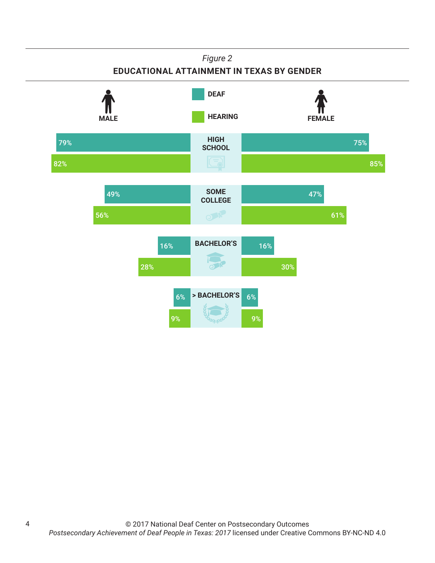## **EDUCATIONAL ATTAINMENT IN TEXAS BY GENDER**

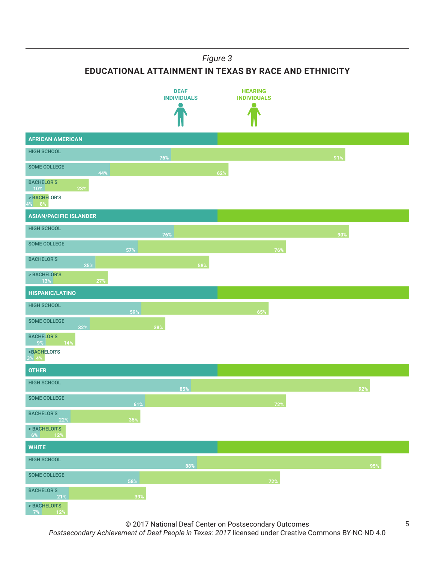**EDUCATIONAL ATTAINMENT IN TEXAS BY RACE AND ETHNICITY**



© 2017 National Deaf Center on Postsecondary Outcomes

5

*Postsecondary Achievement of Deaf People in Texas: 2017* licensed under Creative Commons BY-NC-ND 4.0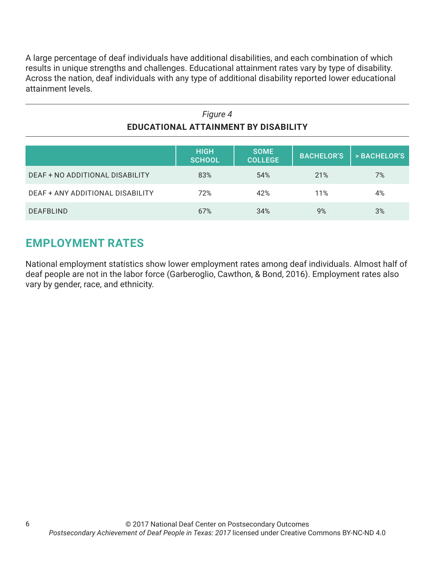A large percentage of deaf individuals have additional disabilities, and each combination of which results in unique strengths and challenges. Educational attainment rates vary by type of disability. Across the nation, deaf individuals with any type of additional disability reported lower educational attainment levels.

| Figure 4                             |
|--------------------------------------|
| EDUCATIONAL ATTAINMENT BY DISABILITY |

|                                  | <b>HIGH</b><br><b>SCHOOL</b> | <b>SOME</b><br><b>COLLEGE</b> | <b>BACHELOR'S</b> | > BACHELOR'S |
|----------------------------------|------------------------------|-------------------------------|-------------------|--------------|
| DEAF + NO ADDITIONAL DISABILITY  | 83%                          | 54%                           | 21%               | 7%           |
| DEAF + ANY ADDITIONAL DISABILITY | 72%                          | 42%                           | 11%               | 4%           |
| <b>DEAFBLIND</b>                 | 67%                          | 34%                           | 9%                | 3%           |

# **EMPLOYMENT RATES**

National employment statistics show lower employment rates among deaf individuals. Almost half of deaf people are not in the labor force (Garberoglio, Cawthon, & Bond, 2016). Employment rates also vary by gender, race, and ethnicity.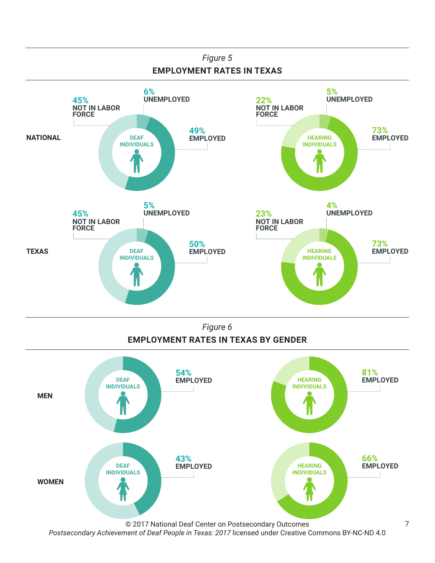

*Figure 6* **EMPLOYMENT RATES IN TEXAS BY GENDER**

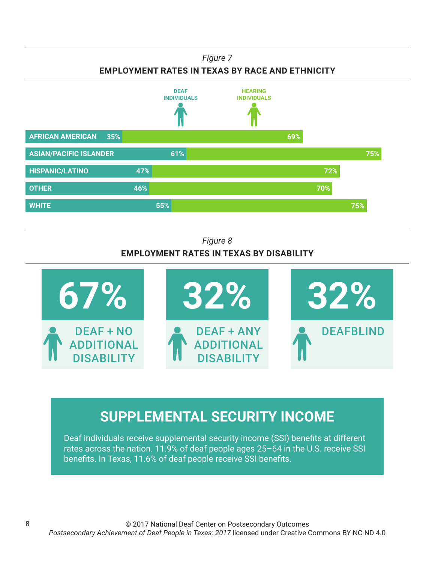**EMPLOYMENT RATES IN TEXAS BY RACE AND ETHNICITY**



## *Figure 8* **EMPLOYMENT RATES IN TEXAS BY DISABILITY**



# **SUPPLEMENTAL SECURITY INCOME**

Deaf individuals receive supplemental security income (SSI) benefits at different rates across the nation. 11.9% of deaf people ages 25–64 in the U.S. receive SSI benefits. In Texas, 11.6% of deaf people receive SSI benefits.

8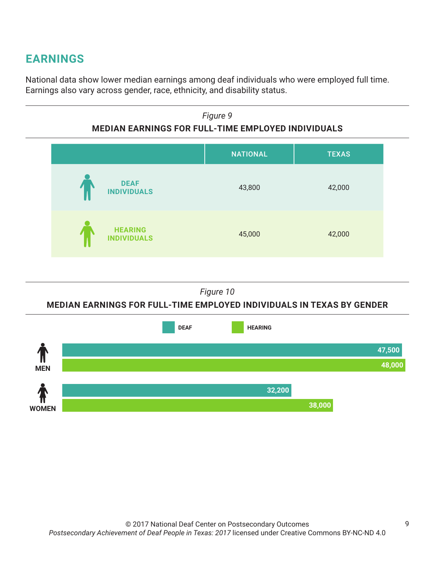# **EARNINGS**

National data show lower median earnings among deaf individuals who were employed full time. Earnings also vary across gender, race, ethnicity, and disability status.

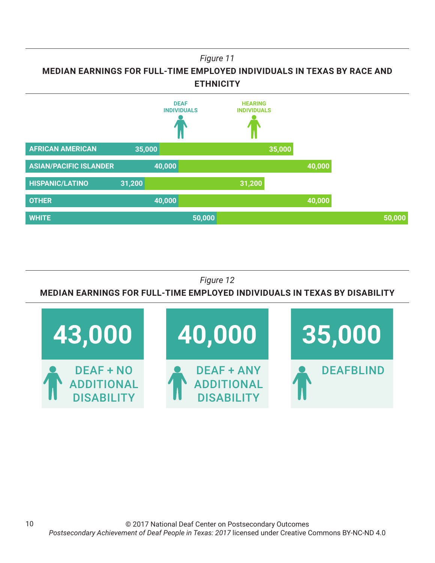



## *Figure 12*

## **MEDIAN EARNINGS FOR FULL-TIME EMPLOYED INDIVIDUALS IN TEXAS BY DISABILITY**